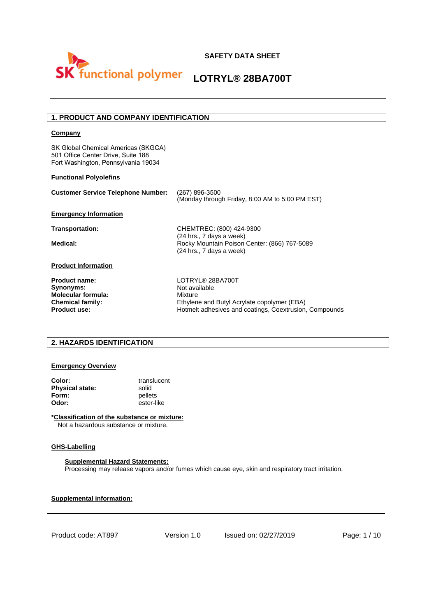

## **1. PRODUCT AND COMPANY IDENTIFICATION**

#### **Company**

SK Global Chemical Americas (SKGCA) 501 Office Center Drive, Suite 188 Fort Washington, Pennsylvania 19034

#### **Functional Polyolefins**

| <b>Customer Service Telephone Number:</b> | (267) 896-3500<br>(Monday through Friday, 8:00 AM to 5:00 PM EST)                                    |
|-------------------------------------------|------------------------------------------------------------------------------------------------------|
| <b>Emergency Information</b>              |                                                                                                      |
| Transportation:                           | CHEMTREC: (800) 424-9300                                                                             |
| Medical:                                  | (24 hrs., 7 days a week)<br>Rocky Mountain Poison Center: (866) 767-5089<br>(24 hrs., 7 days a week) |
| <b>Product Information</b>                |                                                                                                      |
| <b>Product name:</b>                      | LOTRYL® 28BA700T                                                                                     |
| Synonyms:                                 | Not available                                                                                        |
| <b>Molecular formula:</b>                 | Mixture                                                                                              |
| <b>Chemical family:</b>                   | Ethylene and Butyl Acrylate copolymer (EBA)                                                          |
| <b>Product use:</b>                       | Hotmelt adhesives and coatings, Coextrusion, Compounds                                               |

#### **2. HAZARDS IDENTIFICATION**

#### **Emergency Overview**

| Color:                 | translucent |
|------------------------|-------------|
| <b>Physical state:</b> | solid       |
| Form:                  | pellets     |
| Odor:                  | ester-like  |

**\*Classification of the substance or mixture:** Not a hazardous substance or mixture.

#### **GHS-Labelling**

#### **Supplemental Hazard Statements:**

Processing may release vapors and/or fumes which cause eye, skin and respiratory tract irritation.

**Supplemental information:**

Product code: AT897 Version 1.0 Issued on: 02/27/2019 Page: 1 / 10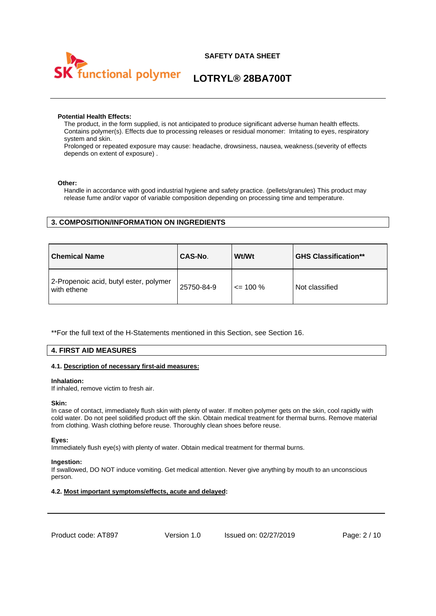



#### **Potential Health Effects:**

The product, in the form supplied, is not anticipated to produce significant adverse human health effects. Contains polymer(s). Effects due to processing releases or residual monomer: Irritating to eyes, respiratory system and skin.

Prolonged or repeated exposure may cause: headache, drowsiness, nausea, weakness.(severity of effects depends on extent of exposure) .

#### **Other:**

Handle in accordance with good industrial hygiene and safety practice. (pellets/granules) This product may release fume and/or vapor of variable composition depending on processing time and temperature.

#### **3. COMPOSITION/INFORMATION ON INGREDIENTS**

| <b>Chemical Name</b>                                  | CAS-No.    | Wt/Wt        | <b>GHS Classification**</b> |
|-------------------------------------------------------|------------|--------------|-----------------------------|
| 2-Propenoic acid, butyl ester, polymer<br>with ethene | 25750-84-9 | $\leq$ 100 % | Not classified              |

\*\*For the full text of the H-Statements mentioned in this Section, see Section 16.

#### **4. FIRST AID MEASURES**

#### **4.1. Description of necessary first-aid measures:**

#### **Inhalation:**

If inhaled, remove victim to fresh air.

#### **Skin:**

In case of contact, immediately flush skin with plenty of water. If molten polymer gets on the skin, cool rapidly with cold water. Do not peel solidified product off the skin. Obtain medical treatment for thermal burns. Remove material from clothing. Wash clothing before reuse. Thoroughly clean shoes before reuse.

#### **Eyes:**

Immediately flush eye(s) with plenty of water. Obtain medical treatment for thermal burns.

#### **Ingestion:**

If swallowed, DO NOT induce vomiting. Get medical attention. Never give anything by mouth to an unconscious person.

#### **4.2. Most important symptoms/effects, acute and delayed:**

Product code: AT897 Version 1.0 Issued on: 02/27/2019 Page: 2 / 10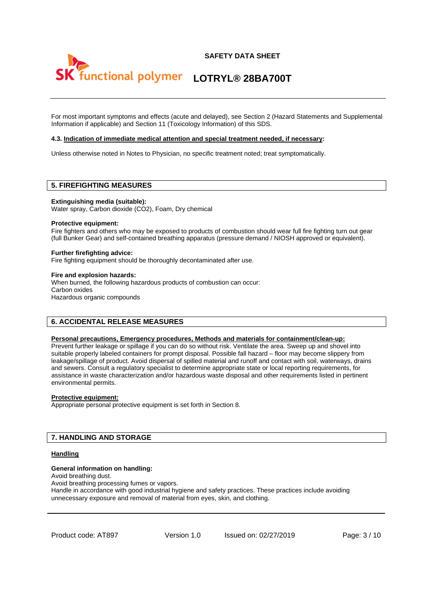



For most important symptoms and effects (acute and delayed), see Section 2 (Hazard Statements and Supplemental Information if applicable) and Section 11 (Toxicology Information) of this SDS.

#### **4.3. Indication of immediate medical attention and special treatment needed, if necessary:**

Unless otherwise noted in Notes to Physician, no specific treatment noted; treat symptomatically.

## **5. FIREFIGHTING MEASURES**

**Extinguishing media (suitable):** 

Water spray, Carbon dioxide (CO2), Foam, Dry chemical

#### **Protective equipment:**

Fire fighters and others who may be exposed to products of combustion should wear full fire fighting turn out gear (full Bunker Gear) and self-contained breathing apparatus (pressure demand / NIOSH approved or equivalent).

#### **Further firefighting advice:**

Fire fighting equipment should be thoroughly decontaminated after use.

#### **Fire and explosion hazards:**

When burned, the following hazardous products of combustion can occur: Carbon oxides Hazardous organic compounds

#### **6. ACCIDENTAL RELEASE MEASURES**

#### **Personal precautions, Emergency procedures, Methods and materials for containment/clean-up:**

Prevent further leakage or spillage if you can do so without risk. Ventilate the area. Sweep up and shovel into suitable properly labeled containers for prompt disposal. Possible fall hazard – floor may become slippery from leakage/spillage of product. Avoid dispersal of spilled material and runoff and contact with soil, waterways, drains and sewers. Consult a regulatory specialist to determine appropriate state or local reporting requirements, for assistance in waste characterization and/or hazardous waste disposal and other requirements listed in pertinent environmental permits.

#### **Protective equipment:**

Appropriate personal protective equipment is set forth in Section 8.

#### **7. HANDLING AND STORAGE**

#### **Handling**

#### **General information on handling:**

Avoid breathing dust.

Avoid breathing processing fumes or vapors. Handle in accordance with good industrial hygiene and safety practices. These practices include avoiding

unnecessary exposure and removal of material from eyes, skin, and clothing.

Product code: AT897 Version 1.0 Issued on: 02/27/2019 Page: 3 / 10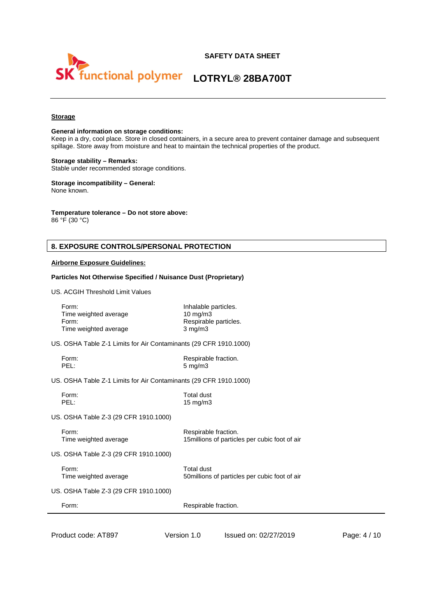

#### **Storage**

#### **General information on storage conditions:**

Keep in a dry, cool place. Store in closed containers, in a secure area to prevent container damage and subsequent spillage. Store away from moisture and heat to maintain the technical properties of the product.

#### **Storage stability – Remarks:**

Stable under recommended storage conditions.

#### **Storage incompatibility – General:** None known.

#### **Temperature tolerance – Do not store above:**

86 °F (30 °C)

#### **8. EXPOSURE CONTROLS/PERSONAL PROTECTION**

#### **Airborne Exposure Guidelines:**

#### **Particles Not Otherwise Specified / Nuisance Dust (Proprietary)**

US. ACGIH Threshold Limit Values

| Form:<br>Time weighted average<br>Form:<br>Time weighted average  | Inhalable particles.<br>$10 \text{ mg/m}$<br>$3$ mg/m $3$ | Respirable particles.                                                 |              |
|-------------------------------------------------------------------|-----------------------------------------------------------|-----------------------------------------------------------------------|--------------|
| US. OSHA Table Z-1 Limits for Air Contaminants (29 CFR 1910.1000) |                                                           |                                                                       |              |
| Form:<br>PEL:                                                     | $5 \text{ mg/m}$ 3                                        | Respirable fraction.                                                  |              |
| US. OSHA Table Z-1 Limits for Air Contaminants (29 CFR 1910.1000) |                                                           |                                                                       |              |
| Form:<br>PEL:                                                     | <b>Total dust</b><br>15 mg/m3                             |                                                                       |              |
| US. OSHA Table Z-3 (29 CFR 1910.1000)                             |                                                           |                                                                       |              |
| Form:<br>Time weighted average                                    |                                                           | Respirable fraction.<br>15millions of particles per cubic foot of air |              |
| US. OSHA Table Z-3 (29 CFR 1910.1000)                             |                                                           |                                                                       |              |
| Form:<br>Time weighted average                                    | <b>Total dust</b>                                         | 50 millions of particles per cubic foot of air                        |              |
| US. OSHA Table Z-3 (29 CFR 1910.1000)                             |                                                           |                                                                       |              |
| Form:                                                             |                                                           | Respirable fraction.                                                  |              |
| Product code: AT897                                               | Version 1.0                                               | Issued on: 02/27/2019                                                 | Page: 4 / 10 |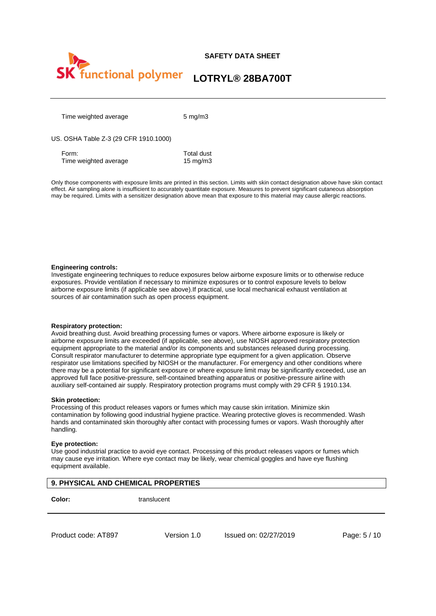

Time weighted average 5 mg/m3

#### US. OSHA Table Z-3 (29 CFR 1910.1000)

Form: Total dust Time weighted average 15 mg/m3

Only those components with exposure limits are printed in this section. Limits with skin contact designation above have skin contact effect. Air sampling alone is insufficient to accurately quantitate exposure. Measures to prevent significant cutaneous absorption may be required. Limits with a sensitizer designation above mean that exposure to this material may cause allergic reactions.

#### **Engineering controls:**

Investigate engineering techniques to reduce exposures below airborne exposure limits or to otherwise reduce exposures. Provide ventilation if necessary to minimize exposures or to control exposure levels to below airborne exposure limits (if applicable see above).If practical, use local mechanical exhaust ventilation at sources of air contamination such as open process equipment.

#### **Respiratory protection:**

Avoid breathing dust. Avoid breathing processing fumes or vapors. Where airborne exposure is likely or airborne exposure limits are exceeded (if applicable, see above), use NIOSH approved respiratory protection equipment appropriate to the material and/or its components and substances released during processing. Consult respirator manufacturer to determine appropriate type equipment for a given application. Observe respirator use limitations specified by NIOSH or the manufacturer. For emergency and other conditions where there may be a potential for significant exposure or where exposure limit may be significantly exceeded, use an approved full face positive-pressure, self-contained breathing apparatus or positive-pressure airline with auxiliary self-contained air supply. Respiratory protection programs must comply with 29 CFR § 1910.134.

#### **Skin protection:**

Processing of this product releases vapors or fumes which may cause skin irritation. Minimize skin contamination by following good industrial hygiene practice. Wearing protective gloves is recommended. Wash hands and contaminated skin thoroughly after contact with processing fumes or vapors. Wash thoroughly after handling.

#### **Eye protection:**

Use good industrial practice to avoid eye contact. Processing of this product releases vapors or fumes which may cause eye irritation. Where eye contact may be likely, wear chemical goggles and have eye flushing equipment available.

#### **9. PHYSICAL AND CHEMICAL PROPERTIES**

**Color:** translucent

Product code: AT897 Version 1.0 Issued on: 02/27/2019 Page: 5 / 10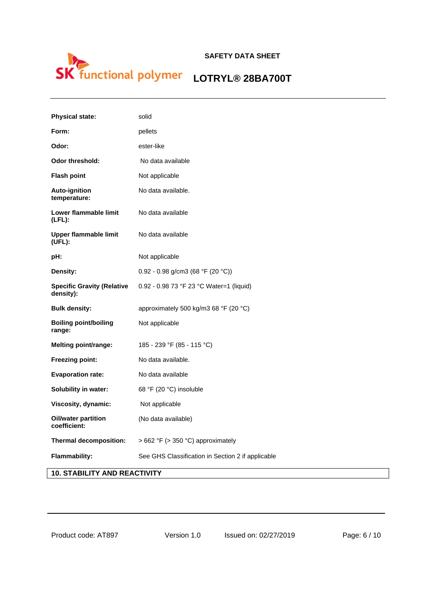# **Functional polymer** LOTRYL® 28BA700T

| <b>Physical state:</b>                         | solid                                             |
|------------------------------------------------|---------------------------------------------------|
| Form:                                          | pellets                                           |
| Odor:                                          | ester-like                                        |
| <b>Odor threshold:</b>                         | No data available                                 |
| <b>Flash point</b>                             | Not applicable                                    |
| <b>Auto-ignition</b><br>temperature:           | No data available.                                |
| Lower flammable limit<br>$(LFL)$ :             | No data available                                 |
| <b>Upper flammable limit</b><br>(UFL):         | No data available                                 |
| pH:                                            | Not applicable                                    |
| Density:                                       | 0.92 - 0.98 g/cm3 (68 °F (20 °C))                 |
| <b>Specific Gravity (Relative</b><br>density): | 0.92 - 0.98 73 °F 23 °C Water=1 (liquid)          |
| <b>Bulk density:</b>                           | approximately 500 kg/m3 68 °F (20 °C)             |
| <b>Boiling point/boiling</b><br>range:         | Not applicable                                    |
| Melting point/range:                           | 185 - 239 °F (85 - 115 °C)                        |
| <b>Freezing point:</b>                         | No data available.                                |
| <b>Evaporation rate:</b>                       | No data available                                 |
| Solubility in water:                           | 68 °F (20 °C) insoluble                           |
| Viscosity, dynamic:                            | Not applicable                                    |
| Oil/water partition<br>coefficient:            | (No data available)                               |
| <b>Thermal decomposition:</b>                  | > 662 °F (> 350 °C) approximately                 |
| <b>Flammability:</b>                           | See GHS Classification in Section 2 if applicable |
| <b>10. STABILITY AND REACTIVITY</b>            |                                                   |

Product code: AT897 Version 1.0 Issued on: 02/27/2019 Page: 6 / 10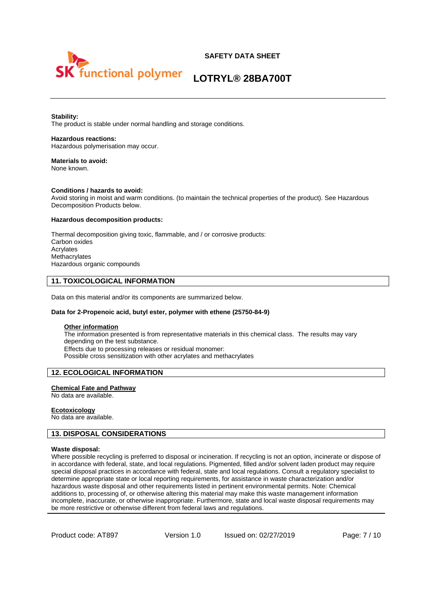

# **LOTRYL® 28BA700T**

#### **Stability:**

The product is stable under normal handling and storage conditions.

#### **Hazardous reactions:**

Hazardous polymerisation may occur.

#### **Materials to avoid:**  None known.

#### **Conditions / hazards to avoid:**

Avoid storing in moist and warm conditions. (to maintain the technical properties of the product). See Hazardous Decomposition Products below.

#### **Hazardous decomposition products:**

Thermal decomposition giving toxic, flammable, and / or corrosive products: Carbon oxides Acrylates **Methacrylates** Hazardous organic compounds

#### **11. TOXICOLOGICAL INFORMATION**

Data on this material and/or its components are summarized below.

#### **Data for 2-Propenoic acid, butyl ester, polymer with ethene (25750-84-9)**

#### **Other information**

The information presented is from representative materials in this chemical class. The results may vary depending on the test substance. Effects due to processing releases or residual monomer: Possible cross sensitization with other acrylates and methacrylates

#### **12. ECOLOGICAL INFORMATION**

#### **Chemical Fate and Pathway**

No data are available.

#### **Ecotoxicology**

No data are available.

#### **13. DISPOSAL CONSIDERATIONS**

#### **Waste disposal:**

Where possible recycling is preferred to disposal or incineration. If recycling is not an option, incinerate or dispose of in accordance with federal, state, and local regulations. Pigmented, filled and/or solvent laden product may require special disposal practices in accordance with federal, state and local regulations. Consult a regulatory specialist to determine appropriate state or local reporting requirements, for assistance in waste characterization and/or hazardous waste disposal and other requirements listed in pertinent environmental permits. Note: Chemical additions to, processing of, or otherwise altering this material may make this waste management information incomplete, inaccurate, or otherwise inappropriate. Furthermore, state and local waste disposal requirements may be more restrictive or otherwise different from federal laws and regulations.

Product code: AT897 Version 1.0 Issued on: 02/27/2019 Page: 7/10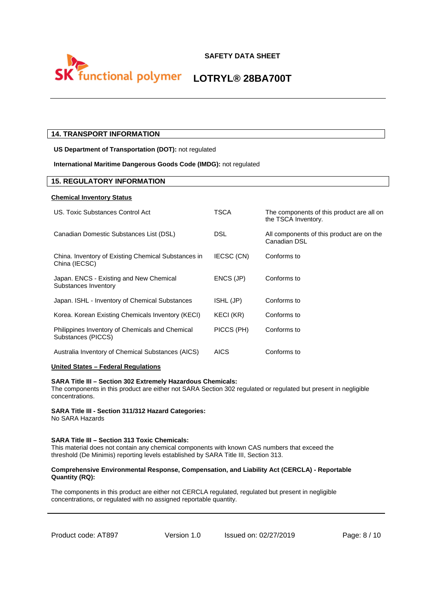

#### **14. TRANSPORT INFORMATION**

**US Department of Transportation (DOT):** not regulated

#### **International Maritime Dangerous Goods Code (IMDG):** not regulated

#### **15. REGULATORY INFORMATION**

#### **Chemical Inventory Status**

| US. Toxic Substances Control Act                                      | TSCA       | The components of this product are all on<br>the TSCA Inventory. |
|-----------------------------------------------------------------------|------------|------------------------------------------------------------------|
| Canadian Domestic Substances List (DSL)                               | DSL        | All components of this product are on the<br>Canadian DSL        |
| China. Inventory of Existing Chemical Substances in<br>China (IECSC)  | IECSC (CN) | Conforms to                                                      |
| Japan. ENCS - Existing and New Chemical<br>Substances Inventory       | ENCS (JP)  | Conforms to                                                      |
| Japan. ISHL - Inventory of Chemical Substances                        | ISHL (JP)  | Conforms to                                                      |
| Korea. Korean Existing Chemicals Inventory (KECI)                     | KECI (KR)  | Conforms to                                                      |
| Philippines Inventory of Chemicals and Chemical<br>Substances (PICCS) | PICCS (PH) | Conforms to                                                      |
| Australia Inventory of Chemical Substances (AICS)                     | AICS       | Conforms to                                                      |

#### **United States – Federal Regulations**

#### **SARA Title III – Section 302 Extremely Hazardous Chemicals:**

The components in this product are either not SARA Section 302 regulated or regulated but present in negligible concentrations.

#### **SARA Title III - Section 311/312 Hazard Categories:**

No SARA Hazards

#### **SARA Title III – Section 313 Toxic Chemicals:**

This material does not contain any chemical components with known CAS numbers that exceed the threshold (De Minimis) reporting levels established by SARA Title III, Section 313.

#### **Comprehensive Environmental Response, Compensation, and Liability Act (CERCLA) - Reportable Quantity (RQ):**

The components in this product are either not CERCLA regulated, regulated but present in negligible concentrations, or regulated with no assigned reportable quantity.

Product code: AT897 Version 1.0 Issued on: 02/27/2019 Page: 8 / 10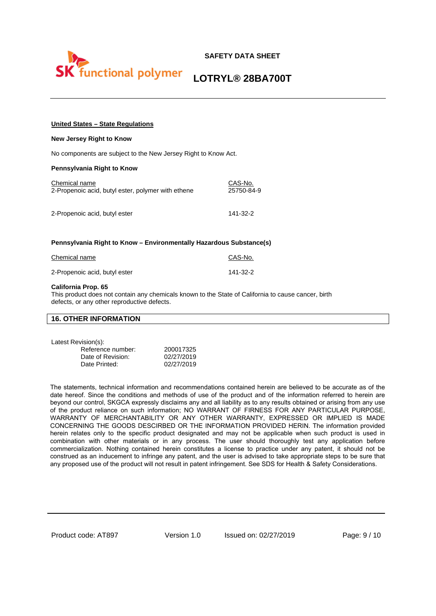

# **LOTRYL® 28BA700T**

#### **United States – State Regulations**

#### **New Jersey Right to Know**

No components are subject to the New Jersey Right to Know Act.

#### **Pennsylvania Right to Know**

| Chemical name                                      | CAS-No.    |
|----------------------------------------------------|------------|
| 2-Propenoic acid, butyl ester, polymer with ethene | 25750-84-9 |
| 2-Propenoic acid, butyl ester                      | 141-32-2   |

#### **Pennsylvania Right to Know – Environmentally Hazardous Substance(s)**

| Chemical name                 | CAS-No.  |
|-------------------------------|----------|
| 2-Propenoic acid, butyl ester | 141-32-2 |

#### **California Prop. 65**

This product does not contain any chemicals known to the State of California to cause cancer, birth defects, or any other reproductive defects.

#### **16. OTHER INFORMATION**

Latest Revision(s):

| Reference number: | 200017325  |
|-------------------|------------|
| Date of Revision: | 02/27/2019 |
| Date Printed:     | 02/27/2019 |

The statements, technical information and recommendations contained herein are believed to be accurate as of the date hereof. Since the conditions and methods of use of the product and of the information referred to herein are beyond our control, SKGCA expressly disclaims any and all liability as to any results obtained or arising from any use of the product reliance on such information; NO WARRANT OF FIRNESS FOR ANY PARTICULAR PURPOSE, WARRANTY OF MERCHANTABILITY OR ANY OTHER WARRANTY, EXPRESSED OR IMPLIED IS MADE CONCERNING THE GOODS DESCIRBED OR THE INFORMATION PROVIDED HERIN. The information provided herein relates only to the specific product designated and may not be applicable when such product is used in combination with other materials or in any process. The user should thoroughly test any application before commercialization. Nothing contained herein constitutes a license to practice under any patent, it should not be construed as an inducement to infringe any patent, and the user is advised to take appropriate steps to be sure that any proposed use of the product will not result in patent infringement. See SDS for Health & Safety Considerations.

Product code: AT897 Version 1.0 Issued on: 02/27/2019 Page: 9 / 10